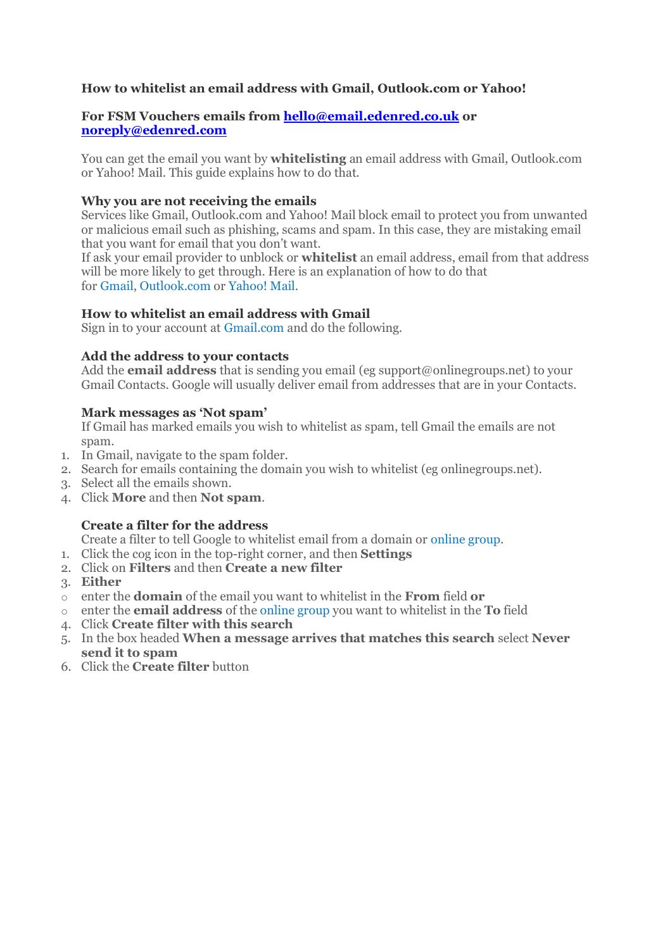# **How to whitelist an email address with Gmail, Outlook.com or Yahoo!**

### **For FSM Vouchers emails from [hello@email.edenred.co.uk](mailto:hello@email.edenred.co.uk) or [noreply@edenred.com](mailto:noreply@edenred.com)**

You can get the email you want by **whitelisting** an email address with Gmail, Outlook.com or Yahoo! Mail. This guide explains how to do that.

### **Why you are not receiving the emails**

Services like Gmail, Outlook.com and Yahoo! Mail block email to protect you from unwanted or malicious email such as phishing, scams and spam. In this case, they are mistaking email that you want for email that you don't want.

If ask your email provider to unblock or **whitelist** an email address, email from that address will be more likely to get through. Here is an explanation of how to do that for [Gmail,](http://onlinegroups.net/blog/2014/02/25/how-to-whitelist-an-email-address/#gmail) [Outlook.com](http://onlinegroups.net/blog/2014/02/25/how-to-whitelist-an-email-address/#outlook) or [Yahoo! Mail.](http://onlinegroups.net/blog/2014/02/25/how-to-whitelist-an-email-address/#yahoo)

# **How to whitelist an email address with Gmail**

Sign in to your account at [Gmail.com](https://mail.google.com/) and do the following.

#### **Add the address to your contacts**

Add the **email address** that is sending you email (eg support@onlinegroups.net) to your Gmail Contacts. Google will usually deliver email from addresses that are in your Contacts.

#### **Mark messages as 'Not spam'**

If Gmail has marked emails you wish to whitelist as spam, tell Gmail the emails are not spam.

- 1. In Gmail, navigate to the spam folder.
- 2. Search for emails containing the domain you wish to whitelist (eg onlinegroups.net).
- 3. Select all the emails shown.
- 4. Click **More** and then **Not spam**.

# **Create a filter for the address**

Create a filter to tell Google to whitelist email from a domain or [online group.](http://onlinegroups.net/blog/2014/02/17/mailing-list-managers-listservs/)

- 1. Click the cog icon in the top-right corner, and then **Settings**
- 2. Click on **Filters** and then **Create a new filter**
- 3. **Either**
- o enter the **domain** of the email you want to whitelist in the **From** field **or**
- o enter the **email address** of the [online group](http://onlinegroups.net/blog/2014/02/17/mailing-list-managers-listservs/) you want to whitelist in the **To** field
- 4. Click **Create filter with this search**
- 5. In the box headed **When a message arrives that matches this search** select **Never send it to spam**
- 6. Click the **Create filter** button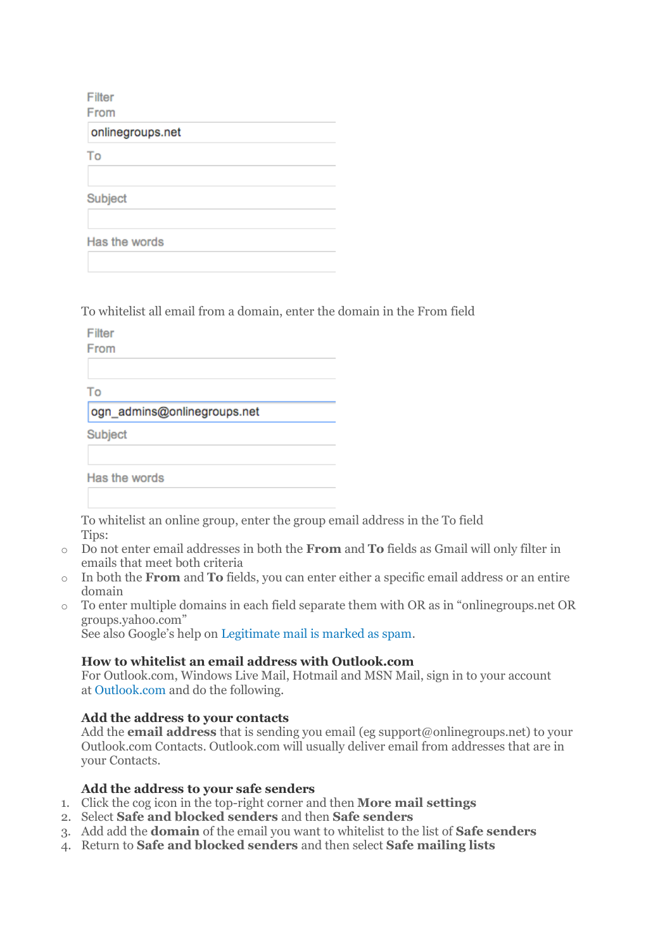Filter

From

onlinegroups.net

To

Subject

Has the words

[To whitelist all email from a domain, enter the](http://blog.onlinegroups.net/wp-content/uploads/2014/02/gmail_to_list.png) domain in the From field

Filter

From

To

ogn admins@onlinegroups.net

Subject

Has the words

To whitelist an online group, enter the group email address in the To field Tips:

- o Do not enter email addresses in both the **From** and **To** fields as Gmail will only filter in emails that meet both criteria
- o In both the **From** and **To** fields, you can enter either a specific email address or an entire domain
- o To enter multiple domains in each field separate them with OR as in "onlinegroups.net OR groups.yahoo.com"

See also Google's help on [Legitimate mail is marked as spam.](https://support.google.com/mail/answer/9008?hl=en)

# **How to whitelist an email address with Outlook.com**

For Outlook.com, Windows Live Mail, Hotmail and MSN Mail, sign in to your account at [Outlook.com](https://outlook.com/) and do the following.

# **Add the address to your contacts**

Add the **email address** that is sending you email (eg support@onlinegroups.net) to your Outlook.com Contacts. Outlook.com will usually deliver email from addresses that are in your Contacts.

# **Add the address to your safe senders**

- 1. Click the cog icon in the top-right corner and then **More mail settings**
- 2. Select **Safe and blocked senders** and then **Safe senders**
- 3. Add add the **domain** of the email you want to whitelist to the list of **Safe senders**
- 4. Return to **Safe and blocked senders** and then select **Safe mailing lists**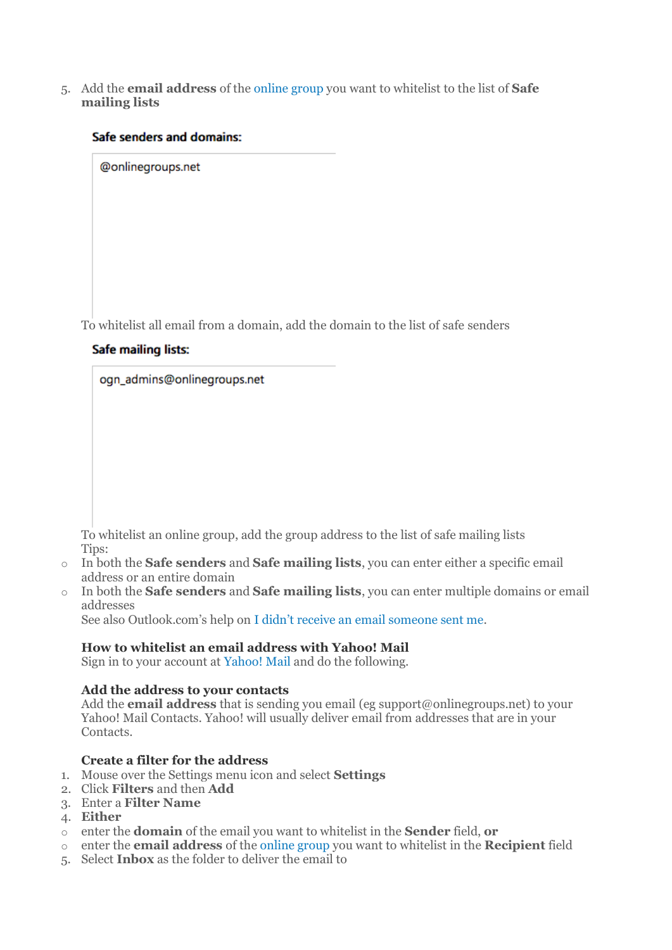5. Add the **email address** of the [online group](http://onlinegroups.net/blog/2014/02/17/mailing-list-managers-listservs/) you want to whitelist to the list of **Safe mailing lists**

### Safe senders and domains:

@onlinegroups.net

To whitelist all email from a domain, add the domain to the list of safe senders

#### Safe mailing lists:

ogn\_admins@onlinegroups.net

To whitelist an online group, add the group address to the list of safe mailing lists Tips:

- o In both the **Safe senders** and **Safe mailing lists**, you can enter either a specific email address or an entire domain
- o In both the **Safe senders** and **Safe mailing lists**, you can enter multiple domains or email addresses

See also Outlook.com's help on [I didn't receive an email someone sent me](http://windows.microsoft.com/en-nz/outlook/not-receiving-email).

#### **How to whitelist an email address with Yahoo! Mail**

Sign in to your account at [Yahoo! Mail](https://mail.yahoo.com/) and do the following.

#### **Add the address to your contacts**

Add the **email address** that is sending you email (eg support@onlinegroups.net) to your Yahoo! Mail Contacts. Yahoo! will usually deliver email from addresses that are in your Contacts.

# **Create a filter for the address**

- 1. Mouse over the Settings menu icon and select **Settings**
- 2. Click **Filters** and then **Add**
- 3. Enter a **Filter Name**
- 4. **Either**
- o enter the **domain** of the email you want to whitelist in the **Sender** field, **or**
- o enter the **email address** of the [online group](http://onlinegroups.net/blog/2014/02/17/mailing-list-managers-listservs/) you want to whitelist in the **Recipient** field
- 5. Select **Inbox** as the folder to deliver the email to